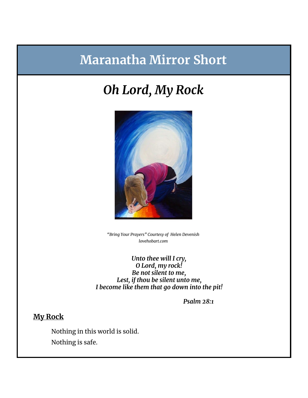# **Maranatha Mirror Short**

# *Oh Lord, My Rock*



*"Bring Your Prayers" Courtesy of Helen Devenish lovehobart.com*

*Unto thee will I cry, O Lord, my rock! Be not silent to me, Lest, if thou be silent unto me, I become like them that go down into the pit!*

*Psalm 28:1*

## **My Rock**

Nothing in this world is solid. Nothing is safe.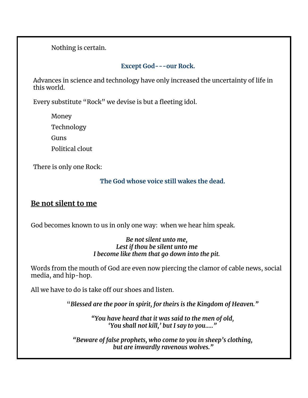Nothing is certain.

### **Except God---our Rock.**

Advances in science and technology have only increased the uncertainty of life in this world.

Every substitute "Rock" we devise is but a fleeting idol.

Money

Technology

Guns

Political clout

There is only one Rock:

### **The God whose voice still wakes the dead.**

## **Be not silent to me**

God becomes known to us in only one way: when we hear him speak.

#### *Be not silent unto me, Lest if thou be silent unto me I become like them that go down into the pit.*

Words from the mouth of God are even now piercing the clamor of cable news, social media, and hip-hop.

All we have to do is take off our shoes and listen.

"*Blessed are the poor in spirit, for theirs is the Kingdom of Heaven."*

*"You have heard that it was said to the men of old, 'You shall not kill, ' but I say to you….."*

*"Beware of false prophets, who come to you in sheep's clothing, but are inwardly ravenous wolves."*